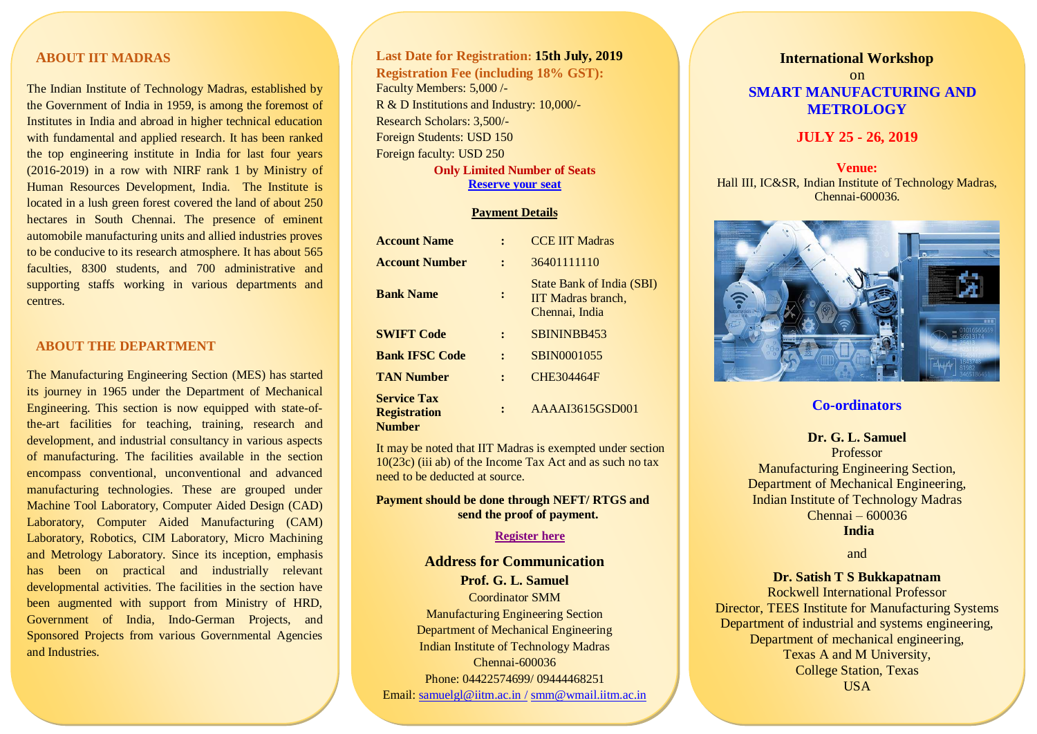# **ABOUT IIT MADRAS**

the Government of India in 1959, is among the foremost of The Indian Institute of Technology Madras, established by Institutes in India and abroad in higher technical education with fundamental and applied research. It has been ranked the top engineering institute in India for last four years (2016-2019) in a row with NIRF rank 1 by Ministry of Human Resources Development, India. The Institute is located in a lush green forest covered the land of about 250 hectares in South Chennai. The presence of eminent automobile manufacturing units and allied industries proves to be conducive to its research atmosphere. It has about 565 faculties, 8300 students, and 700 administrative and supporting staffs working in various departments and centres.

### **ABOUT THE DEPARTMENT**

The Manufacturing Engineering Section (MES) has started its journey in 1965 under the Department of Mechanical Engineering. This section is now equipped with state-ofthe-art facilities for teaching, training, research and development, and industrial consultancy in various aspects of manufacturing. The facilities available in the section encompass conventional, unconventional and advanced manufacturing technologies. These are grouped under Machine Tool Laboratory, Computer Aided Design (CAD) Laboratory, Computer Aided Manufacturing (CAM) Laboratory, Robotics, CIM Laboratory, Micro Machining and Metrology Laboratory. Since its inception, emphasis has been on practical and industrially relevant developmental activities. The facilities in the section have been augmented with support from Ministry of HRD, Government of India, Indo-German Projects, and Sponsored Projects from various Governmental Agencies and Industries.

**Last Date for Registration: 15th July, 2019 Registration Fee (including 18% GST):**  Faculty Members: 5,000 /- R & D Institutions and Industry: 10,000/- Research Scholars: 3,500/- Foreign Students: USD 150 Foreign faculty: USD 250

**Only Limited Number of Seats Reserve [your seat](https://docs.google.com/forms/d/e/1FAIpQLSeHuwNSGfrpMIe0GdlA1XsijX52_iAEdJqaqfghm_hOCTKylA/viewform?usp=sf_link)**

#### **Payment Details**

| <b>Account Name</b>                                        |         | <b>CCE IIT Madras</b>                                                    |
|------------------------------------------------------------|---------|--------------------------------------------------------------------------|
| <b>Account Number</b>                                      |         | 36401111110                                                              |
| <b>Bank Name</b>                                           | :       | <b>State Bank of India (SBI)</b><br>IIT Madras branch,<br>Chennai, India |
| <b>SWIFT Code</b>                                          |         | SBININBB453                                                              |
| <b>Bank IFSC Code</b>                                      |         | SBIN0001055                                                              |
| <b>TAN Number</b>                                          | $\cdot$ | CHE304464F                                                               |
| <b>Service Tax</b><br><b>Registration</b><br><b>Number</b> |         | AAAAI3615GSD001                                                          |

It may be noted that IIT Madras is exempted under section 10(23c) (iii ab) of the Income Tax Act and as such no tax need to be deducted at source.

## **Payment should be done through NEFT/ RTGS and send the proof of payment.**

#### **[Register here](https://docs.google.com/forms/d/e/1FAIpQLSfx2tmj4g0zEyOZNZxKpsXsmct4sFDMZO9Tb6AMnfwWZQCfOw/viewform?usp=sf_link)**

#### **Address for Communication**

**Prof. G. L. Samuel** Coordinator SMM Manufacturing Engineering Section Department of Mechanical Engineering Indian Institute of Technology Madras Chennai-600036 Phone: 04422574699/ 09444468251 Email: [samuelgl@iitm.ac.in](mailto:samuelgl@iitm.ac.in%20/) / [smm@wmail.iitm.ac.in](mailto:smm@wmail.iitm.ac.in)

## **International Workshop**

on  **SMART MANUFACTURING AND METROLOGY**

## **JULY 25 - 26, 2019**

## **Venue:** Hall III, IC&SR, Indian Institute of Technology Madras, Chennai-600036.



## **Co-ordinators**

**Dr. G. L. Samuel** Professor Manufacturing Engineering Section, Department of Mechanical Engineering, Indian Institute of Technology Madras Chennai – 600036 **India**

and

#### **Dr. Satish T S Bukkapatnam**

Rockwell International Professor Director, TEES Institute for Manufacturing Systems Department of industrial and systems engineering, Department of mechanical engineering, Texas A and M University, College Station, Texas USA